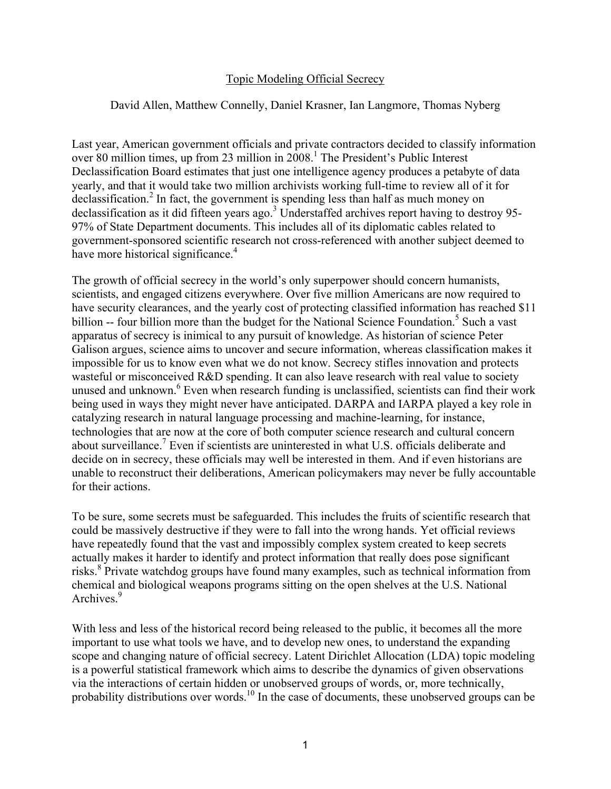## Topic Modeling Official Secrecy

## David Allen, Matthew Connelly, Daniel Krasner, Ian Langmore, Thomas Nyberg

Last year, American government officials and private contractors decided to classify information over 80 million times, up from 23 million in 2008.<sup>1</sup> The President's Public Interest Declassification Board estimates that just one intelligence agency produces a petabyte of data yearly, and that it would take two million archivists working full-time to review all of it for declassification.<sup>2</sup> In fact, the government is spending less than half as much money on declassification as it did fifteen years ago.<sup>3</sup> Understaffed archives report having to destroy 95-97% of State Department documents. This includes all of its diplomatic cables related to government-sponsored scientific research not cross-referenced with another subject deemed to have more historical significance.<sup>4</sup>

The growth of official secrecy in the world's only superpower should concern humanists, scientists, and engaged citizens everywhere. Over five million Americans are now required to have security clearances, and the yearly cost of protecting classified information has reached \$11 billion -- four billion more than the budget for the National Science Foundation.<sup>5</sup> Such a vast apparatus of secrecy is inimical to any pursuit of knowledge. As historian of science Peter Galison argues, science aims to uncover and secure information, whereas classification makes it impossible for us to know even what we do not know. Secrecy stifles innovation and protects wasteful or misconceived R&D spending. It can also leave research with real value to society unused and unknown.<sup>6</sup> Even when research funding is unclassified, scientists can find their work being used in ways they might never have anticipated. DARPA and IARPA played a key role in catalyzing research in natural language processing and machine-learning, for instance, technologies that are now at the core of both computer science research and cultural concern about surveillance.<sup>7</sup> Even if scientists are uninterested in what U.S. officials deliberate and decide on in secrecy, these officials may well be interested in them. And if even historians are unable to reconstruct their deliberations, American policymakers may never be fully accountable for their actions.

To be sure, some secrets must be safeguarded. This includes the fruits of scientific research that could be massively destructive if they were to fall into the wrong hands. Yet official reviews have repeatedly found that the vast and impossibly complex system created to keep secrets actually makes it harder to identify and protect information that really does pose significant risks.<sup>8</sup> Private watchdog groups have found many examples, such as technical information from chemical and biological weapons programs sitting on the open shelves at the U.S. National Archives.<sup>9</sup>

With less and less of the historical record being released to the public, it becomes all the more important to use what tools we have, and to develop new ones, to understand the expanding scope and changing nature of official secrecy. Latent Dirichlet Allocation (LDA) topic modeling is a powerful statistical framework which aims to describe the dynamics of given observations via the interactions of certain hidden or unobserved groups of words, or, more technically, probability distributions over words.<sup>10</sup> In the case of documents, these unobserved groups can be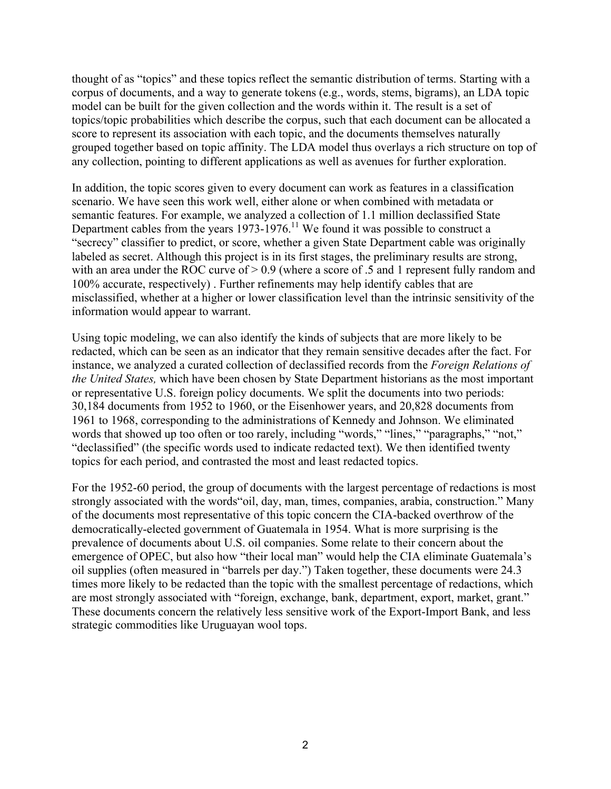thought of as "topics" and these topics reflect the semantic distribution of terms. Starting with a corpus of documents, and a way to generate tokens (e.g., words, stems, bigrams), an LDA topic model can be built for the given collection and the words within it. The result is a set of topics/topic probabilities which describe the corpus, such that each document can be allocated a score to represent its association with each topic, and the documents themselves naturally grouped together based on topic affinity. The LDA model thus overlays a rich structure on top of any collection, pointing to different applications as well as avenues for further exploration.

In addition, the topic scores given to every document can work as features in a classification scenario. We have seen this work well, either alone or when combined with metadata or semantic features. For example, we analyzed a collection of 1.1 million declassified State Department cables from the years  $1973-1976$ .<sup>11</sup> We found it was possible to construct a "secrecy" classifier to predict, or score, whether a given State Department cable was originally labeled as secret. Although this project is in its first stages, the preliminary results are strong, with an area under the ROC curve of  $> 0.9$  (where a score of .5 and 1 represent fully random and 100% accurate, respectively) . Further refinements may help identify cables that are misclassified, whether at a higher or lower classification level than the intrinsic sensitivity of the information would appear to warrant.

Using topic modeling, we can also identify the kinds of subjects that are more likely to be redacted, which can be seen as an indicator that they remain sensitive decades after the fact. For instance, we analyzed a curated collection of declassified records from the *Foreign Relations of the United States,* which have been chosen by State Department historians as the most important or representative U.S. foreign policy documents. We split the documents into two periods: 30,184 documents from 1952 to 1960, or the Eisenhower years, and 20,828 documents from 1961 to 1968, corresponding to the administrations of Kennedy and Johnson. We eliminated words that showed up too often or too rarely, including "words," "lines," "paragraphs," "not," "declassified" (the specific words used to indicate redacted text). We then identified twenty topics for each period, and contrasted the most and least redacted topics.

For the 1952-60 period, the group of documents with the largest percentage of redactions is most strongly associated with the words"oil, day, man, times, companies, arabia, construction." Many of the documents most representative of this topic concern the CIA-backed overthrow of the democratically-elected government of Guatemala in 1954. What is more surprising is the prevalence of documents about U.S. oil companies. Some relate to their concern about the emergence of OPEC, but also how "their local man" would help the CIA eliminate Guatemala's oil supplies (often measured in "barrels per day.") Taken together, these documents were 24.3 times more likely to be redacted than the topic with the smallest percentage of redactions, which are most strongly associated with "foreign, exchange, bank, department, export, market, grant." These documents concern the relatively less sensitive work of the Export-Import Bank, and less strategic commodities like Uruguayan wool tops.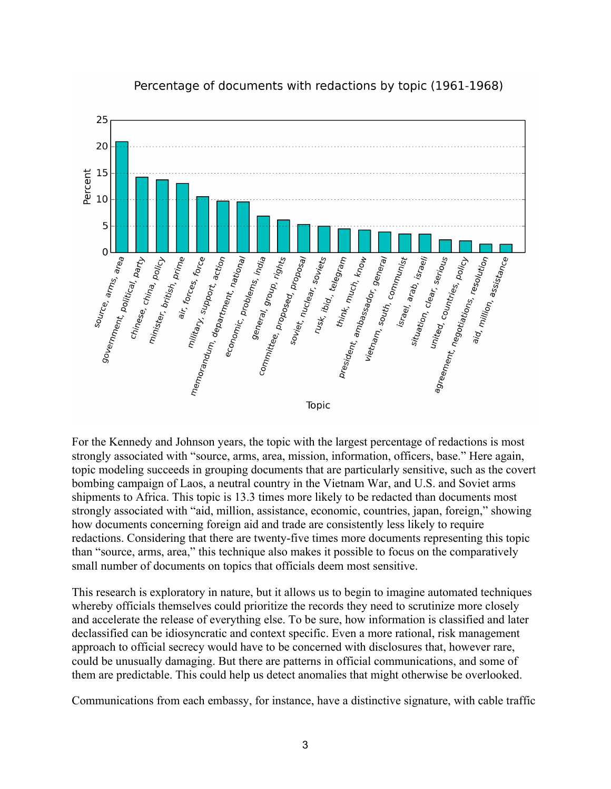

Percentage of documents with redactions by topic (1961-1968)

For the Kennedy and Johnson years, the topic with the largest percentage of redactions is most strongly associated with "source, arms, area, mission, information, officers, base." Here again, topic modeling succeeds in grouping documents that are particularly sensitive, such as the covert bombing campaign of Laos, a neutral country in the Vietnam War, and U.S. and Soviet arms shipments to Africa. This topic is 13.3 times more likely to be redacted than documents most strongly associated with "aid, million, assistance, economic, countries, japan, foreign," showing how documents concerning foreign aid and trade are consistently less likely to require redactions. Considering that there are twenty-five times more documents representing this topic than "source, arms, area," this technique also makes it possible to focus on the comparatively small number of documents on topics that officials deem most sensitive.

This research is exploratory in nature, but it allows us to begin to imagine automated techniques whereby officials themselves could prioritize the records they need to scrutinize more closely and accelerate the release of everything else. To be sure, how information is classified and later declassified can be idiosyncratic and context specific. Even a more rational, risk management approach to official secrecy would have to be concerned with disclosures that, however rare, could be unusually damaging. But there are patterns in official communications, and some of them are predictable. This could help us detect anomalies that might otherwise be overlooked.

Communications from each embassy, for instance, have a distinctive signature, with cable traffic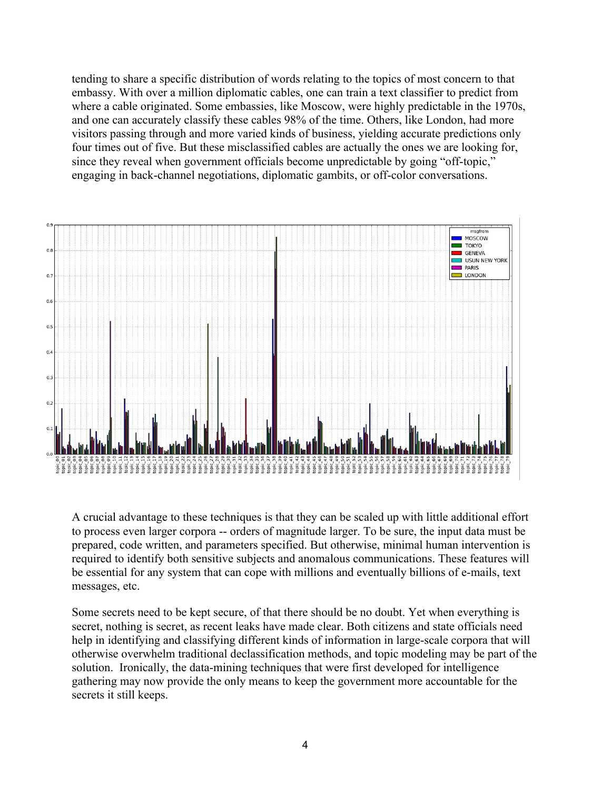tending to share a specific distribution of words relating to the topics of most concern to that embassy. With over a million diplomatic cables, one can train a text classifier to predict from where a cable originated. Some embassies, like Moscow, were highly predictable in the 1970s, and one can accurately classify these cables 98% of the time. Others, like London, had more visitors passing through and more varied kinds of business, yielding accurate predictions only four times out of five. But these misclassified cables are actually the ones we are looking for, since they reveal when government officials become unpredictable by going "off-topic," engaging in back-channel negotiations, diplomatic gambits, or off-color conversations.



A crucial advantage to these techniques is that they can be scaled up with little additional effort to process even larger corpora -- orders of magnitude larger. To be sure, the input data must be prepared, code written, and parameters specified. But otherwise, minimal human intervention is required to identify both sensitive subjects and anomalous communications. These features will be essential for any system that can cope with millions and eventually billions of e-mails, text messages, etc.

Some secrets need to be kept secure, of that there should be no doubt. Yet when everything is secret, nothing is secret, as recent leaks have made clear. Both citizens and state officials need help in identifying and classifying different kinds of information in large-scale corpora that will otherwise overwhelm traditional declassification methods, and topic modeling may be part of the solution. Ironically, the data-mining techniques that were first developed for intelligence gathering may now provide the only means to keep the government more accountable for the secrets it still keeps.